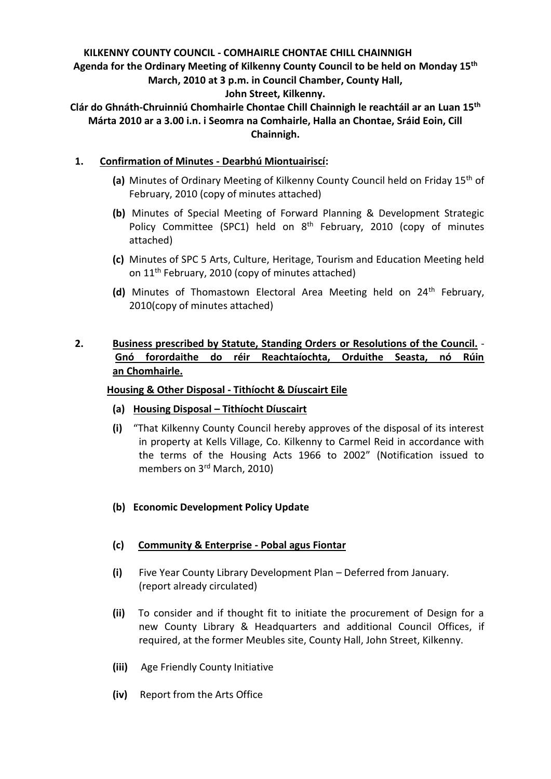# **KILKENNY COUNTY COUNCIL - COMHAIRLE CHONTAE CHILL CHAINNIGH Agenda for the Ordinary Meeting of Kilkenny County Council to be held on Monday 15th March, 2010 at 3 p.m. in Council Chamber, County Hall, John Street, Kilkenny.**

**Clár do Ghnáth-Chruinniú Chomhairle Chontae Chill Chainnigh le reachtáil ar an Luan 15th Márta 2010 ar a 3.00 i.n. i Seomra na Comhairle, Halla an Chontae, Sráid Eoin, Cill Chainnigh.**

# **1. Confirmation of Minutes - Dearbhú Miontuairiscí:**

- **(a)** Minutes of Ordinary Meeting of Kilkenny County Council held on Friday 15th of February, 2010 (copy of minutes attached)
- **(b)** Minutes of Special Meeting of Forward Planning & Development Strategic Policy Committee (SPC1) held on 8<sup>th</sup> February, 2010 (copy of minutes attached)
- **(c)** Minutes of SPC 5 Arts, Culture, Heritage, Tourism and Education Meeting held on 11th February, 2010 (copy of minutes attached)
- (d) Minutes of Thomastown Electoral Area Meeting held on 24<sup>th</sup> February, 2010(copy of minutes attached)

# **2. Business prescribed by Statute, Standing Orders or Resolutions of the Council.** - **Gnó forordaithe do réir Reachtaíochta, Orduithe Seasta, nó Rúin an Chomhairle.**

## **Housing & Other Disposal - Tithíocht & Díuscairt Eile**

## **(a) Housing Disposal – Tithíocht Díuscairt**

- **(i)** "That Kilkenny County Council hereby approves of the disposal of its interest in property at Kells Village, Co. Kilkenny to Carmel Reid in accordance with the terms of the Housing Acts 1966 to 2002" (Notification issued to members on 3rd March, 2010)
- **(b) Economic Development Policy Update**
- **(c) Community & Enterprise - Pobal agus Fiontar**
- **(i)** Five Year County Library Development Plan Deferred from January. (report already circulated)
- **(ii)** To consider and if thought fit to initiate the procurement of Design for a new County Library & Headquarters and additional Council Offices, if required, at the former Meubles site, County Hall, John Street, Kilkenny.
- **(iii)** Age Friendly County Initiative
- **(iv)** Report from the Arts Office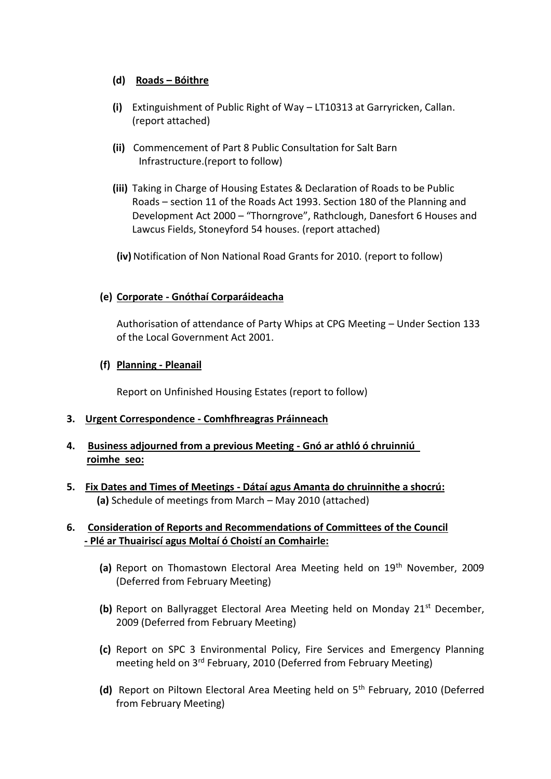# **(d) Roads – Bóithre**

- **(i)** Extinguishment of Public Right of Way LT10313 at Garryricken, Callan. (report attached)
- **(ii)** Commencement of Part 8 Public Consultation for Salt Barn Infrastructure.(report to follow)
- **(iii)** Taking in Charge of Housing Estates & Declaration of Roads to be Public Roads – section 11 of the Roads Act 1993. Section 180 of the Planning and Development Act 2000 – "Thorngrove", Rathclough, Danesfort 6 Houses and Lawcus Fields, Stoneyford 54 houses. (report attached)

**(iv)**Notification of Non National Road Grants for 2010. (report to follow)

# **(e) Corporate - Gnóthaí Corparáideacha**

Authorisation of attendance of Party Whips at CPG Meeting – Under Section 133 of the Local Government Act 2001.

## **(f) Planning - Pleanail**

Report on Unfinished Housing Estates (report to follow)

## **3. Urgent Correspondence - Comhfhreagras Práinneach**

- **4. Business adjourned from a previous Meeting - Gnó ar athló ó chruinniú roimhe seo:**
- **5. Fix Dates and Times of Meetings - Dátaí agus Amanta do chruinnithe a shocrú: (a)** Schedule of meetings from March – May 2010 (attached)

# **6. Consideration of Reports and Recommendations of Committees of the Council - Plé ar Thuairiscí agus Moltaí ó Choistí an Comhairle:**

- (a) Report on Thomastown Electoral Area Meeting held on 19<sup>th</sup> November, 2009 (Deferred from February Meeting)
- **(b)** Report on Ballyragget Electoral Area Meeting held on Monday 21<sup>st</sup> December, 2009 (Deferred from February Meeting)
- **(c)** Report on SPC 3 Environmental Policy, Fire Services and Emergency Planning meeting held on 3rd February, 2010 (Deferred from February Meeting)
- **(d)** Report on Piltown Electoral Area Meeting held on 5th February, 2010 (Deferred from February Meeting)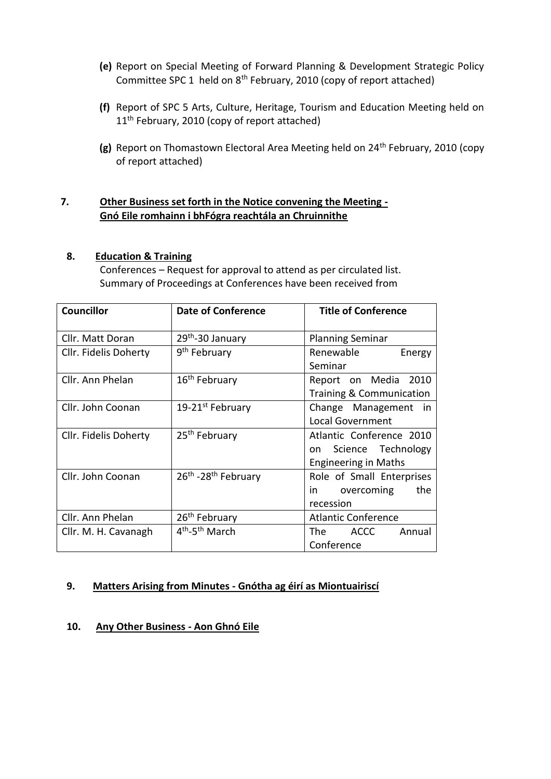- **(e)** Report on Special Meeting of Forward Planning & Development Strategic Policy Committee SPC 1 held on 8th February, 2010 (copy of report attached)
- **(f)** Report of SPC 5 Arts, Culture, Heritage, Tourism and Education Meeting held on 11<sup>th</sup> February, 2010 (copy of report attached)
- **(g)** Report on Thomastown Electoral Area Meeting held on 24th February, 2010 (copy of report attached)

# **7. Other Business set forth in the Notice convening the Meeting - Gnó Eile romhainn i bhFógra reachtála an Chruinnithe**

### **8. Education & Training**

Conferences – Request for approval to attend as per circulated list. Summary of Proceedings at Conferences have been received from

| <b>Councillor</b>     | <b>Date of Conference</b>              | <b>Title of Conference</b>                                                          |
|-----------------------|----------------------------------------|-------------------------------------------------------------------------------------|
| Cllr. Matt Doran      | 29th-30 January                        | <b>Planning Seminar</b>                                                             |
| Cllr. Fidelis Doherty | 9 <sup>th</sup> February               | Renewable<br>Energy<br>Seminar                                                      |
| Cllr. Ann Phelan      | 16 <sup>th</sup> February              | Report on Media 2010<br><b>Training &amp; Communication</b>                         |
| Cllr. John Coonan     | 19-21 <sup>st</sup> February           | Change Management<br>- in<br><b>Local Government</b>                                |
| Cllr. Fidelis Doherty | 25 <sup>th</sup> February              | Atlantic Conference 2010<br>Science Technology<br>on<br><b>Engineering in Maths</b> |
| Cllr. John Coonan     | 26th - 28th February                   | Role of Small Enterprises<br>overcoming<br>the<br>in.<br>recession                  |
| Cllr. Ann Phelan      | 26 <sup>th</sup> February              | <b>Atlantic Conference</b>                                                          |
| Cllr. M. H. Cavanagh  | 4 <sup>th</sup> -5 <sup>th</sup> March | The ACCC<br>Annual<br>Conference                                                    |

## **9. Matters Arising from Minutes - Gnótha ag éirí as Miontuairiscí**

## **10. Any Other Business - Aon Ghnó Eile**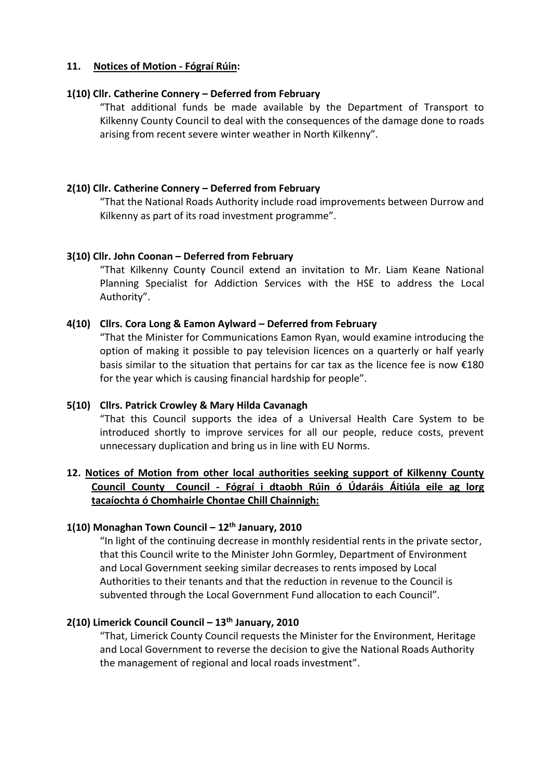### **11. Notices of Motion - Fógraí Rúin:**

### **1(10) Cllr. Catherine Connery – Deferred from February**

"That additional funds be made available by the Department of Transport to Kilkenny County Council to deal with the consequences of the damage done to roads arising from recent severe winter weather in North Kilkenny".

### **2(10) Cllr. Catherine Connery – Deferred from February**

"That the National Roads Authority include road improvements between Durrow and Kilkenny as part of its road investment programme".

### **3(10) Cllr. John Coonan – Deferred from February**

"That Kilkenny County Council extend an invitation to Mr. Liam Keane National Planning Specialist for Addiction Services with the HSE to address the Local Authority".

### **4(10) Cllrs. Cora Long & Eamon Aylward – Deferred from February**

"That the Minister for Communications Eamon Ryan, would examine introducing the option of making it possible to pay television licences on a quarterly or half yearly basis similar to the situation that pertains for car tax as the licence fee is now  $£180$ for the year which is causing financial hardship for people".

### **5(10) Cllrs. Patrick Crowley & Mary Hilda Cavanagh**

"That this Council supports the idea of a Universal Health Care System to be introduced shortly to improve services for all our people, reduce costs, prevent unnecessary duplication and bring us in line with EU Norms.

# **12. Notices of Motion from other local authorities seeking support of Kilkenny County Council County Council - Fógraí i dtaobh Rúin ó Údaráis Áitiúla eile ag lorg tacaíochta ó Chomhairle Chontae Chill Chainnigh:**

### **1(10) Monaghan Town Council – 12th January, 2010**

"In light of the continuing decrease in monthly residential rents in the private sector, that this Council write to the Minister John Gormley, Department of Environment and Local Government seeking similar decreases to rents imposed by Local Authorities to their tenants and that the reduction in revenue to the Council is subvented through the Local Government Fund allocation to each Council".

# **2(10) Limerick Council Council – 13th January, 2010**

"That, Limerick County Council requests the Minister for the Environment, Heritage and Local Government to reverse the decision to give the National Roads Authority the management of regional and local roads investment".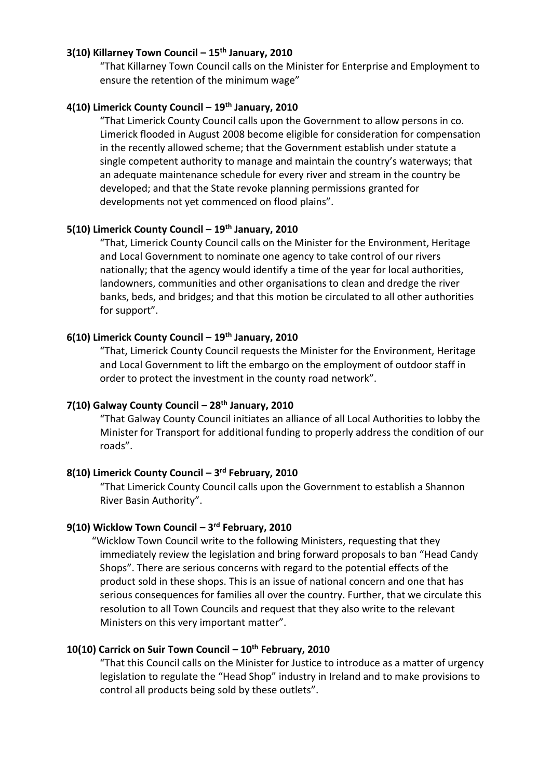### **3(10) Killarney Town Council – 15th January, 2010**

"That Killarney Town Council calls on the Minister for Enterprise and Employment to ensure the retention of the minimum wage"

# **4(10) Limerick County Council – 19th January, 2010**

"That Limerick County Council calls upon the Government to allow persons in co. Limerick flooded in August 2008 become eligible for consideration for compensation in the recently allowed scheme; that the Government establish under statute a single competent authority to manage and maintain the country's waterways; that an adequate maintenance schedule for every river and stream in the country be developed; and that the State revoke planning permissions granted for developments not yet commenced on flood plains".

### **5(10) Limerick County Council – 19th January, 2010**

"That, Limerick County Council calls on the Minister for the Environment, Heritage and Local Government to nominate one agency to take control of our rivers nationally; that the agency would identify a time of the year for local authorities, landowners, communities and other organisations to clean and dredge the river banks, beds, and bridges; and that this motion be circulated to all other authorities for support".

### **6(10) Limerick County Council – 19th January, 2010**

"That, Limerick County Council requests the Minister for the Environment, Heritage and Local Government to lift the embargo on the employment of outdoor staff in order to protect the investment in the county road network".

# **7(10) Galway County Council – 28th January, 2010**

"That Galway County Council initiates an alliance of all Local Authorities to lobby the Minister for Transport for additional funding to properly address the condition of our roads".

### **8(10) Limerick County Council – 3 rd February, 2010**

"That Limerick County Council calls upon the Government to establish a Shannon River Basin Authority".

#### **9(10) Wicklow Town Council – 3 rd February, 2010**

 "Wicklow Town Council write to the following Ministers, requesting that they immediately review the legislation and bring forward proposals to ban "Head Candy Shops". There are serious concerns with regard to the potential effects of the product sold in these shops. This is an issue of national concern and one that has serious consequences for families all over the country. Further, that we circulate this resolution to all Town Councils and request that they also write to the relevant Ministers on this very important matter".

#### **10(10) Carrick on Suir Town Council – 10th February, 2010**

"That this Council calls on the Minister for Justice to introduce as a matter of urgency legislation to regulate the "Head Shop" industry in Ireland and to make provisions to control all products being sold by these outlets".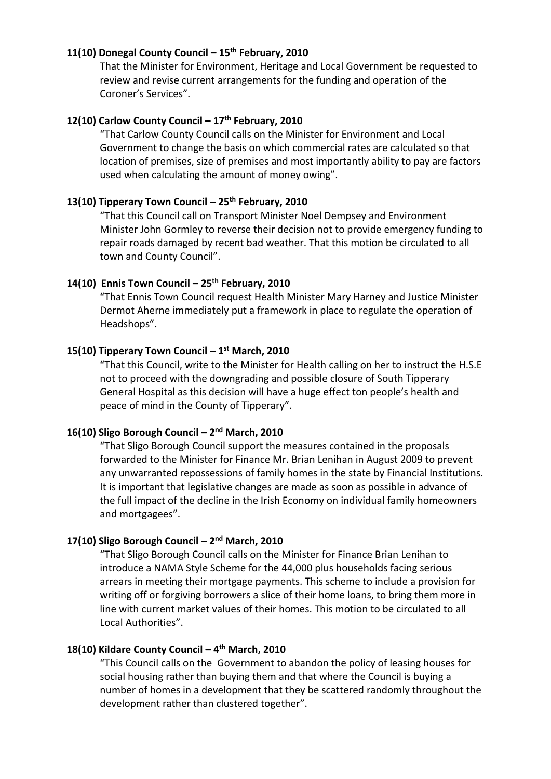#### **11(10) Donegal County Council – 15th February, 2010**

That the Minister for Environment, Heritage and Local Government be requested to review and revise current arrangements for the funding and operation of the Coroner's Services".

# **12(10) Carlow County Council – 17th February, 2010**

"That Carlow County Council calls on the Minister for Environment and Local Government to change the basis on which commercial rates are calculated so that location of premises, size of premises and most importantly ability to pay are factors used when calculating the amount of money owing".

### **13(10) Tipperary Town Council – 25th February, 2010**

"That this Council call on Transport Minister Noel Dempsey and Environment Minister John Gormley to reverse their decision not to provide emergency funding to repair roads damaged by recent bad weather. That this motion be circulated to all town and County Council".

# **14(10) Ennis Town Council – 25th February, 2010**

"That Ennis Town Council request Health Minister Mary Harney and Justice Minister Dermot Aherne immediately put a framework in place to regulate the operation of Headshops".

#### **15(10) Tipperary Town Council – 1 st March, 2010**

"That this Council, write to the Minister for Health calling on her to instruct the H.S.E not to proceed with the downgrading and possible closure of South Tipperary General Hospital as this decision will have a huge effect ton people's health and peace of mind in the County of Tipperary".

### **16(10) Sligo Borough Council – 2 nd March, 2010**

"That Sligo Borough Council support the measures contained in the proposals forwarded to the Minister for Finance Mr. Brian Lenihan in August 2009 to prevent any unwarranted repossessions of family homes in the state by Financial Institutions. It is important that legislative changes are made as soon as possible in advance of the full impact of the decline in the Irish Economy on individual family homeowners and mortgagees".

### **17(10) Sligo Borough Council – 2 nd March, 2010**

"That Sligo Borough Council calls on the Minister for Finance Brian Lenihan to introduce a NAMA Style Scheme for the 44,000 plus households facing serious arrears in meeting their mortgage payments. This scheme to include a provision for writing off or forgiving borrowers a slice of their home loans, to bring them more in line with current market values of their homes. This motion to be circulated to all Local Authorities".

#### **18(10) Kildare County Council – 4 th March, 2010**

"This Council calls on the Government to abandon the policy of leasing houses for social housing rather than buying them and that where the Council is buying a number of homes in a development that they be scattered randomly throughout the development rather than clustered together".